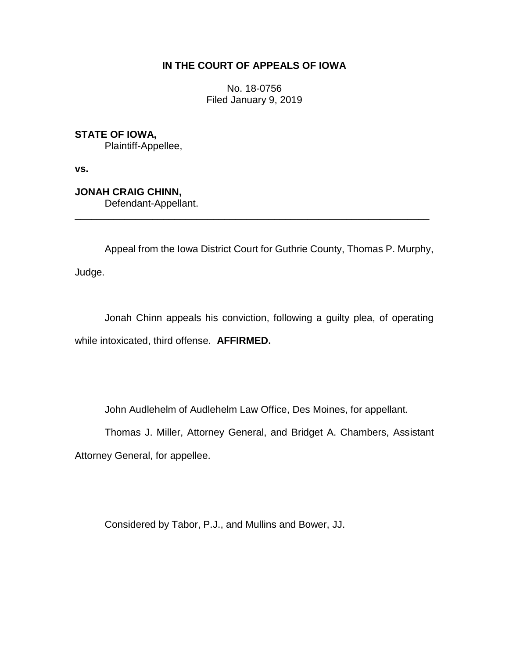## **IN THE COURT OF APPEALS OF IOWA**

No. 18-0756 Filed January 9, 2019

**STATE OF IOWA,**

Plaintiff-Appellee,

**vs.**

**JONAH CRAIG CHINN,**

Defendant-Appellant.

Appeal from the Iowa District Court for Guthrie County, Thomas P. Murphy, Judge.

\_\_\_\_\_\_\_\_\_\_\_\_\_\_\_\_\_\_\_\_\_\_\_\_\_\_\_\_\_\_\_\_\_\_\_\_\_\_\_\_\_\_\_\_\_\_\_\_\_\_\_\_\_\_\_\_\_\_\_\_\_\_\_\_

Jonah Chinn appeals his conviction, following a guilty plea, of operating while intoxicated, third offense. **AFFIRMED.** 

John Audlehelm of Audlehelm Law Office, Des Moines, for appellant.

Thomas J. Miller, Attorney General, and Bridget A. Chambers, Assistant Attorney General, for appellee.

Considered by Tabor, P.J., and Mullins and Bower, JJ.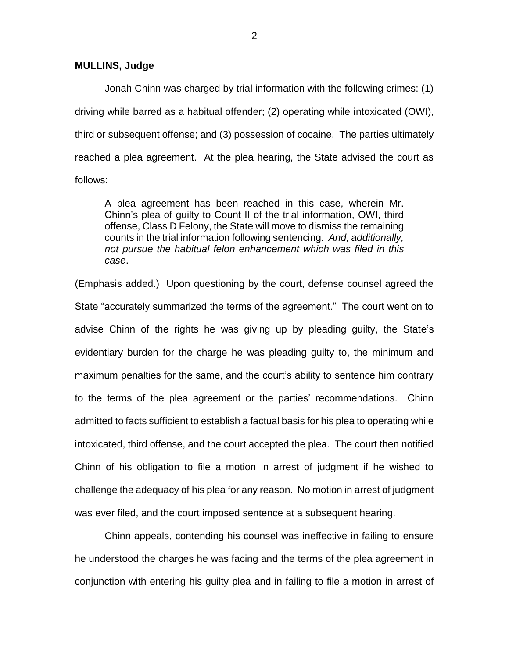**MULLINS, Judge**

Jonah Chinn was charged by trial information with the following crimes: (1) driving while barred as a habitual offender; (2) operating while intoxicated (OWI), third or subsequent offense; and (3) possession of cocaine. The parties ultimately reached a plea agreement. At the plea hearing, the State advised the court as follows:

A plea agreement has been reached in this case, wherein Mr. Chinn's plea of guilty to Count II of the trial information, OWI, third offense, Class D Felony, the State will move to dismiss the remaining counts in the trial information following sentencing. *And, additionally, not pursue the habitual felon enhancement which was filed in this case*.

(Emphasis added.) Upon questioning by the court, defense counsel agreed the State "accurately summarized the terms of the agreement." The court went on to advise Chinn of the rights he was giving up by pleading guilty, the State's evidentiary burden for the charge he was pleading guilty to, the minimum and maximum penalties for the same, and the court's ability to sentence him contrary to the terms of the plea agreement or the parties' recommendations. Chinn admitted to facts sufficient to establish a factual basis for his plea to operating while intoxicated, third offense, and the court accepted the plea. The court then notified Chinn of his obligation to file a motion in arrest of judgment if he wished to challenge the adequacy of his plea for any reason. No motion in arrest of judgment was ever filed, and the court imposed sentence at a subsequent hearing.

Chinn appeals, contending his counsel was ineffective in failing to ensure he understood the charges he was facing and the terms of the plea agreement in conjunction with entering his guilty plea and in failing to file a motion in arrest of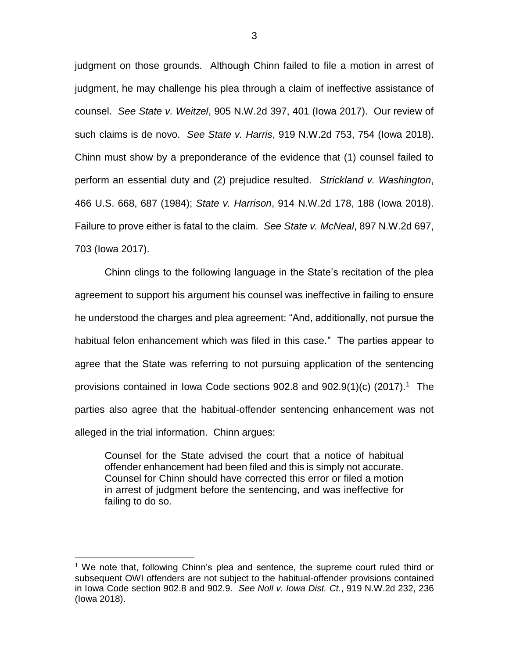judgment on those grounds. Although Chinn failed to file a motion in arrest of judgment, he may challenge his plea through a claim of ineffective assistance of counsel. *See State v. Weitzel*, 905 N.W.2d 397, 401 (Iowa 2017). Our review of such claims is de novo. *See State v. Harris*, 919 N.W.2d 753, 754 (Iowa 2018). Chinn must show by a preponderance of the evidence that (1) counsel failed to perform an essential duty and (2) prejudice resulted. *Strickland v. Washington*, 466 U.S. 668, 687 (1984); *State v. Harrison*, 914 N.W.2d 178, 188 (Iowa 2018). Failure to prove either is fatal to the claim. *See State v. McNeal*, 897 N.W.2d 697, 703 (Iowa 2017).

Chinn clings to the following language in the State's recitation of the plea agreement to support his argument his counsel was ineffective in failing to ensure he understood the charges and plea agreement: "And, additionally, not pursue the habitual felon enhancement which was filed in this case." The parties appear to agree that the State was referring to not pursuing application of the sentencing provisions contained in Iowa Code sections  $902.8$  and  $902.9(1)(c)$  (2017).<sup>1</sup> The parties also agree that the habitual-offender sentencing enhancement was not alleged in the trial information. Chinn argues:

Counsel for the State advised the court that a notice of habitual offender enhancement had been filed and this is simply not accurate. Counsel for Chinn should have corrected this error or filed a motion in arrest of judgment before the sentencing, and was ineffective for failing to do so.

 $\overline{a}$ 

<sup>1</sup> We note that, following Chinn's plea and sentence, the supreme court ruled third or subsequent OWI offenders are not subject to the habitual-offender provisions contained in Iowa Code section 902.8 and 902.9. *See Noll v. Iowa Dist. Ct.*, 919 N.W.2d 232, 236 (Iowa 2018).